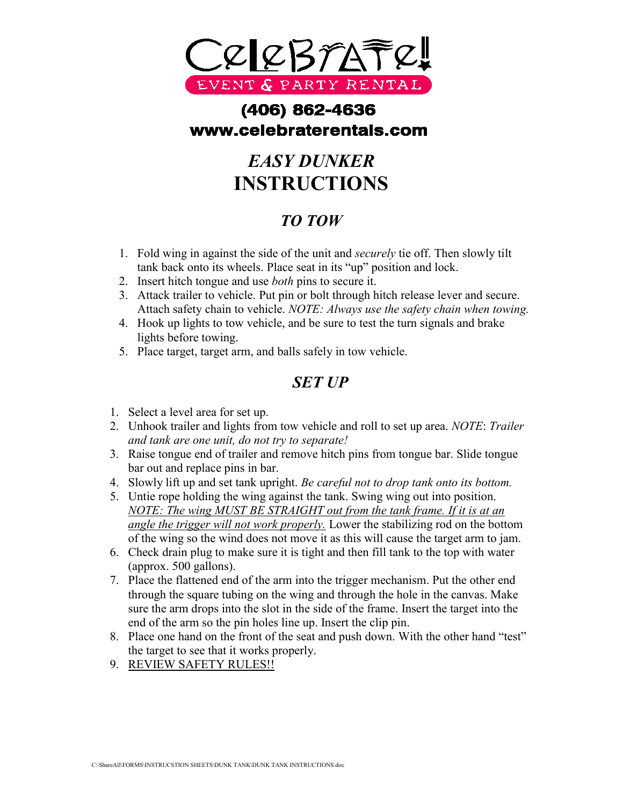

## (406) 862-4636 www.celebraterentals.com

# *EASY DUNKER* **INSTRUCTIONS**

### *TO TOW*

- 1. Fold wing in against the side of the unit and *securely* tie off. Then slowly tilt tank back onto its wheels. Place seat in its "up" position and lock.
- 2. Insert hitch tongue and use *both* pins to secure it.
- 3. Attack trailer to vehicle. Put pin or bolt through hitch release lever and secure. Attach safety chain to vehicle. *NOTE: Always use the safety chain when towing.*
- 4. Hook up lights to tow vehicle, and be sure to test the turn signals and brake lights before towing.
- 5. Place target, target arm, and balls safely in tow vehicle.

#### *SET UP*

- 1. Select a level area for set up.
- 2. Unhook trailer and lights from tow vehicle and roll to set up area. *NOTE*: *Trailer and tank are one unit, do not try to separate!*
- 3. Raise tongue end of trailer and remove hitch pins from tongue bar. Slide tongue bar out and replace pins in bar.
- 4. Slowly lift up and set tank upright. *Be careful not to drop tank onto its bottom.*
- 5. Untie rope holding the wing against the tank. Swing wing out into position. *NOTE: The wing MUST BE STRAIGHT out from the tank frame. If it is at an angle the trigger will not work properly.* Lower the stabilizing rod on the bottom of the wing so the wind does not move it as this will cause the target arm to jam.
- 6. Check drain plug to make sure it is tight and then fill tank to the top with water (approx. 500 gallons).
- 7. Place the flattened end of the arm into the trigger mechanism. Put the other end through the square tubing on the wing and through the hole in the canvas. Make sure the arm drops into the slot in the side of the frame. Insert the target into the end of the arm so the pin holes line up. Insert the clip pin.
- 8. Place one hand on the front of the seat and push down. With the other hand "test" the target to see that it works properly.
- 9. REVIEW SAFETY RULES!!